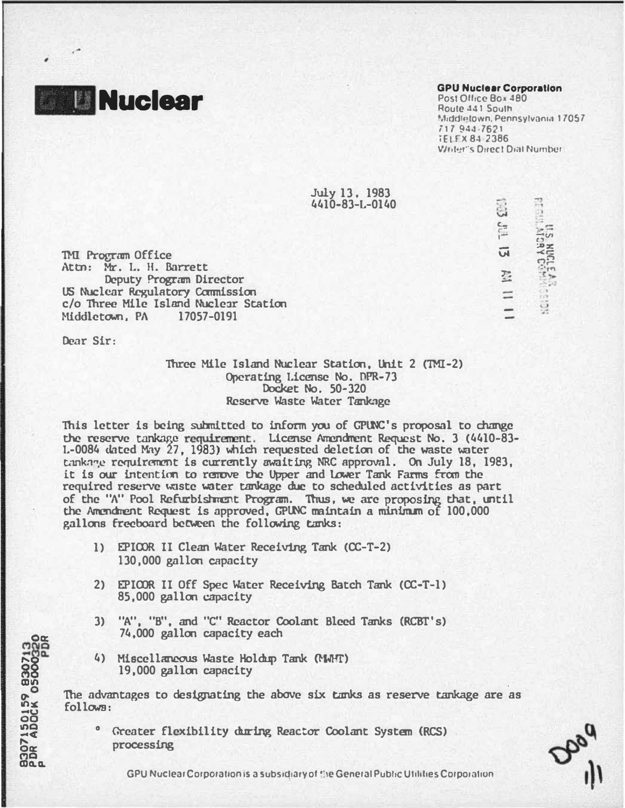**Nuclear** 

## **GPU Nuclear Corporation**

Post Office Box 480 Route 441 South Middletown, Pennsylvania 17057 717 944-7621 **TELEX 84-2386** Wester's Direct Dial Number

GO JUL 13 KN 11 1

**ET GUS ANGELEAR**<br>PERSIMA DES MUCERES (1914)

July 13. 1983  $4410 - 83 - 1 - 0140$ 

**TMI Program Office** Attn: Mr. L. H. Barrett Deputy Program Director US Nuclear Regulatory Commission c/o Three Mile Island Nuclear Station Middletown, PA 17057-0191

Dear Sir:

**8307150159 830713**<br>PDR ADOCK 05000320

Three Mile Island Nuclear Station, Unit 2 (TMI-2) Operating License No. DPR-73 Docket No. 50-320 Reserve Waste Water Tankage

This letter is being submitted to inform you of GPUNC's proposal to change the reserve tankage requirement. License Amendment Request No. 3 (4410-83-L-0084 dated May 27, 1983) which requested deletion of the waste water tankage requirement is currently awaiting NRC approval. On July 18, 1983, it is our intention to renove the Upper and Lower Tank Farms from the required reserve waste water tankage due to scheduled activities as part of the "A" Pool Refurbishment Program. Thus, we are proposing that, until the Amendment Request is approved, GPUNC maintain a minimum of 100,000 gallons freeboard between the following tanks:

- 1) EPICOR II Clean Water Receiving Tank (CC-T-2) 130,000 gallon capacity
- 2) EPICOR II Off Spec Water Receiving Batch Tank (CC-T-1) 85,000 gallon capacity
- 3) "A", "B", and "C" Reactor Coolant Bleed Tanks (RCBT's) 74,000 gallon capacity each
- 4) Miscellaneous Waste Holdan Tank (MMFT) 19,000 gallon capacity

The advantages to designating the above six tanks as reserve tankage are as  $follows:$ 

<sup>o</sup> Greater flexibility during Reactor Coolant System (RCS) processing

GPU Nuclear Corporation is a subsidiary of the General Public Utilities Corporation